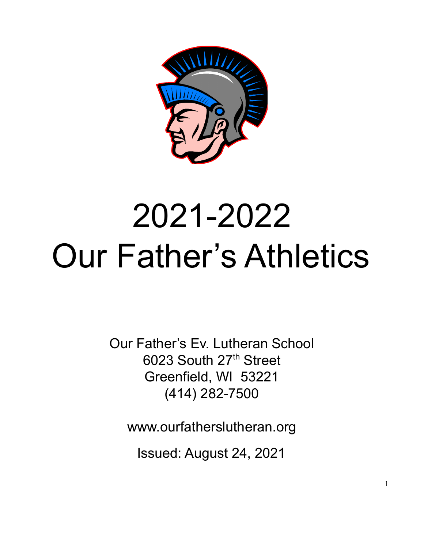

# 2021-2022 Our Father's Athletics

Our Father's Ev. Lutheran School 6023 South 27<sup>th</sup> Street Greenfield, WI 53221 (414) 282-7500

www.ourfatherslutheran.org

Issued: August 24, 2021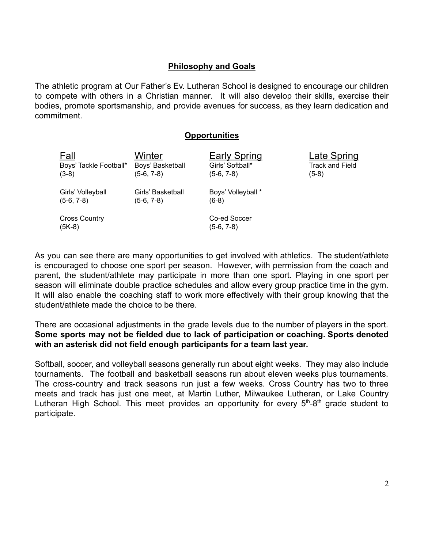#### **Philosophy and Goals**

The athletic program at Our Father's Ev. Lutheran School is designed to encourage our children to compete with others in a Christian manner. It will also develop their skills, exercise their bodies, promote sportsmanship, and provide avenues for success, as they learn dedication and commitment.

#### **Opportunities**

| <u>Fall</u>                      | Winter            | <b>Early Spring</b>        | <b>Late Spring</b>     |
|----------------------------------|-------------------|----------------------------|------------------------|
| Boys' Tackle Football*           | Boys' Basketball  | Girls' Softball*           | <b>Track and Field</b> |
| $(3-8)$                          | (5-6, 7-8)        | (5-6, 7-8)                 | (5-8)                  |
| Girls' Volleyball                | Girls' Basketball | Boys' Volleyball *         |                        |
| $(5-6, 7-8)$                     | (5-6, 7-8)        | $(6-8)$                    |                        |
| <b>Cross Country</b><br>$(5K-8)$ |                   | Co-ed Soccer<br>(5-6, 7-8) |                        |

As you can see there are many opportunities to get involved with athletics. The student/athlete is encouraged to choose one sport per season. However, with permission from the coach and parent, the student/athlete may participate in more than one sport. Playing in one sport per season will eliminate double practice schedules and allow every group practice time in the gym. It will also enable the coaching staff to work more effectively with their group knowing that the student/athlete made the choice to be there.

There are occasional adjustments in the grade levels due to the number of players in the sport. **Some sports may not be fielded due to lack of participation or coaching. Sports denoted with an asterisk did not field enough participants for a team last year.**

Softball, soccer, and volleyball seasons generally run about eight weeks. They may also include tournaments. The football and basketball seasons run about eleven weeks plus tournaments. The cross-country and track seasons run just a few weeks. Cross Country has two to three meets and track has just one meet, at Martin Luther, Milwaukee Lutheran, or Lake Country Lutheran High School. This meet provides an opportunity for every  $5<sup>th</sup>-8<sup>th</sup>$  grade student to participate.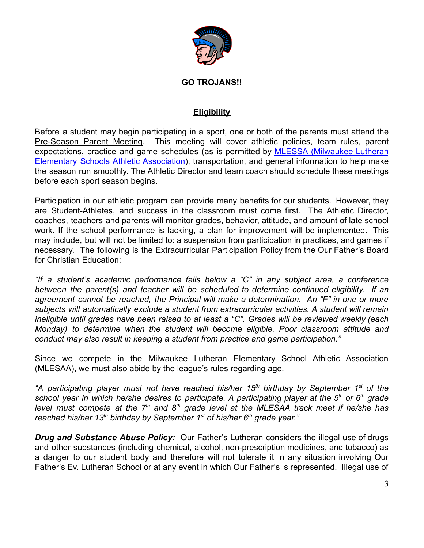

#### **GO TROJANS!!**

## **Eligibility**

Before a student may begin participating in a sport, one or both of the parents must attend the Pre-Season Parent Meeting. This meeting will cover athletic policies, team rules, parent expectations, practice and game schedules (as is permitted by MLESSA [\(Milwaukee](http://www.mlesaa.org/) Lutheran Elementary Schools Athletic [Association\)](http://www.mlesaa.org/), transportation, and general information to help make the season run smoothly. The Athletic Director and team coach should schedule these meetings before each sport season begins.

Participation in our athletic program can provide many benefits for our students. However, they are Student-Athletes, and success in the classroom must come first. The Athletic Director, coaches, teachers and parents will monitor grades, behavior, attitude, and amount of late school work. If the school performance is lacking, a plan for improvement will be implemented. This may include, but will not be limited to: a suspension from participation in practices, and games if necessary. The following is the Extracurricular Participation Policy from the Our Father's Board for Christian Education:

*"If a student's academic performance falls below a "C" in any subject area, a conference between the parent(s) and teacher will be scheduled to determine continued eligibility. If an agreement cannot be reached, the Principal will make a determination. An "F" in one or more subjects will automatically exclude a student from extracurricular activities. A student will remain ineligible until grades have been raised to at least a "C". Grades will be reviewed weekly (each Monday) to determine when the student will become eligible. Poor classroom attitude and conduct may also result in keeping a student from practice and game participation."*

Since we compete in the Milwaukee Lutheran Elementary School Athletic Association (MLESAA), we must also abide by the league's rules regarding age.

*"A participating player must not have reached his/her 15th birthday by September 1 st of the* school year in which he/she desires to participate. A participating player at the 5<sup>th</sup> or 6<sup>th</sup> grade level must compete at the 7<sup>th</sup> and 8<sup>th</sup> grade level at the MLESAA track meet if he/she has *reached his/her 13th birthday by September 1st of his/her 6th grade year."*

*Drug and Substance Abuse Policy:* Our Father's Lutheran considers the illegal use of drugs and other substances (including chemical, alcohol, non-prescription medicines, and tobacco) as a danger to our student body and therefore will not tolerate it in any situation involving Our Father's Ev. Lutheran School or at any event in which Our Father's is represented. Illegal use of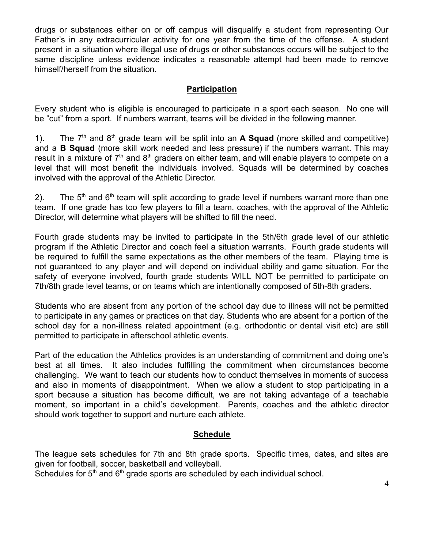drugs or substances either on or off campus will disqualify a student from representing Our Father's in any extracurricular activity for one year from the time of the offense. A student present in a situation where illegal use of drugs or other substances occurs will be subject to the same discipline unless evidence indicates a reasonable attempt had been made to remove himself/herself from the situation.

### **Participation**

Every student who is eligible is encouraged to participate in a sport each season. No one will be "cut" from a sport. If numbers warrant, teams will be divided in the following manner.

1). The  $7<sup>th</sup>$  and  $8<sup>th</sup>$  grade team will be split into an **A Squad** (more skilled and competitive) and a **B Squad** (more skill work needed and less pressure) if the numbers warrant. This may result in a mixture of  $7<sup>th</sup>$  and  $8<sup>th</sup>$  graders on either team, and will enable players to compete on a level that will most benefit the individuals involved. Squads will be determined by coaches involved with the approval of the Athletic Director.

2). The  $5<sup>th</sup>$  and  $6<sup>th</sup>$  team will split according to grade level if numbers warrant more than one team. If one grade has too few players to fill a team, coaches, with the approval of the Athletic Director, will determine what players will be shifted to fill the need.

Fourth grade students may be invited to participate in the 5th/6th grade level of our athletic program if the Athletic Director and coach feel a situation warrants. Fourth grade students will be required to fulfill the same expectations as the other members of the team. Playing time is not guaranteed to any player and will depend on individual ability and game situation. For the safety of everyone involved, fourth grade students WILL NOT be permitted to participate on 7th/8th grade level teams, or on teams which are intentionally composed of 5th-8th graders.

Students who are absent from any portion of the school day due to illness will not be permitted to participate in any games or practices on that day. Students who are absent for a portion of the school day for a non-illness related appointment (e.g. orthodontic or dental visit etc) are still permitted to participate in afterschool athletic events.

Part of the education the Athletics provides is an understanding of commitment and doing one's best at all times. It also includes fulfilling the commitment when circumstances become challenging. We want to teach our students how to conduct themselves in moments of success and also in moments of disappointment. When we allow a student to stop participating in a sport because a situation has become difficult, we are not taking advantage of a teachable moment, so important in a child's development. Parents, coaches and the athletic director should work together to support and nurture each athlete.

## **Schedule**

The league sets schedules for 7th and 8th grade sports. Specific times, dates, and sites are given for football, soccer, basketball and volleyball.

Schedules for  $5<sup>th</sup>$  and  $6<sup>th</sup>$  grade sports are scheduled by each individual school.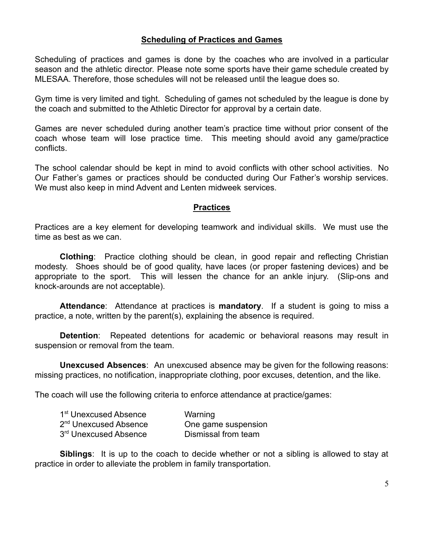#### **Scheduling of Practices and Games**

Scheduling of practices and games is done by the coaches who are involved in a particular season and the athletic director. Please note some sports have their game schedule created by MLESAA. Therefore, those schedules will not be released until the league does so.

Gym time is very limited and tight. Scheduling of games not scheduled by the league is done by the coach and submitted to the Athletic Director for approval by a certain date.

Games are never scheduled during another team's practice time without prior consent of the coach whose team will lose practice time. This meeting should avoid any game/practice conflicts.

The school calendar should be kept in mind to avoid conflicts with other school activities. No Our Father's games or practices should be conducted during Our Father's worship services. We must also keep in mind Advent and Lenten midweek services.

#### **Practices**

Practices are a key element for developing teamwork and individual skills. We must use the time as best as we can.

**Clothing**: Practice clothing should be clean, in good repair and reflecting Christian modesty. Shoes should be of good quality, have laces (or proper fastening devices) and be appropriate to the sport. This will lessen the chance for an ankle injury. (Slip-ons and knock-arounds are not acceptable).

**Attendance**: Attendance at practices is **mandatory**. If a student is going to miss a practice, a note, written by the parent(s), explaining the absence is required.

**Detention**: Repeated detentions for academic or behavioral reasons may result in suspension or removal from the team.

**Unexcused Absences**: An unexcused absence may be given for the following reasons: missing practices, no notification, inappropriate clothing, poor excuses, detention, and the like.

The coach will use the following criteria to enforce attendance at practice/games:

| 1 <sup>st</sup> Unexcused Absence | Warning             |
|-----------------------------------|---------------------|
| 2 <sup>nd</sup> Unexcused Absence | One game suspension |
| 3rd Unexcused Absence             | Dismissal from team |

**Siblings**: It is up to the coach to decide whether or not a sibling is allowed to stay at practice in order to alleviate the problem in family transportation.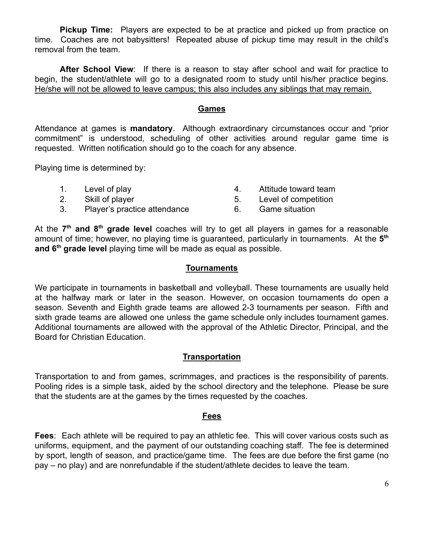**Pickup Time:** Players are expected to be at practice and picked up from practice on time. Coaches are not babysitters! Repeated abuse of pickup time may result in the child's removal from the team.

**After School View**: If there is a reason to stay after school and wait for practice to begin, the student/athlete will go to a designated room to study until his/her practice begins. He/she will not be allowed to leave campus; this also includes any siblings that may remain.

#### **Games**

Attendance at games is **mandatory**. Although extraordinary circumstances occur and "prior commitment" is understood, scheduling of other activities around regular game time is requested. Written notification should go to the coach for any absence.

Playing time is determined by:

- 1. Level of play the same state of the set of the Attitude toward team
- 2. Skill of player 12. Skill of player 12. Skill of player 12. Skill of player 12. Skill of competition
- -
- 3. Player's practice attendance 6. Game situation
- 

At the 7<sup>th</sup> and 8<sup>th</sup> grade level coaches will try to get all players in games for a reasonable amount of time; however, no playing time is guaranteed, particularly in tournaments. At the 5<sup>th</sup> **and 6th grade level** playing time will be made as equal as possible.

#### **Tournaments**

We participate in tournaments in basketball and volleyball. These tournaments are usually held at the halfway mark or later in the season. However, on occasion tournaments do open a season. Seventh and Eighth grade teams are allowed 2-3 tournaments per season. Fifth and sixth grade teams are allowed one unless the game schedule only includes tournament games. Additional tournaments are allowed with the approval of the Athletic Director, Principal, and the Board for Christian Education.

#### **Transportation**

Transportation to and from games, scrimmages, and practices is the responsibility of parents. Pooling rides is a simple task, aided by the school directory and the telephone. Please be sure that the students are at the games by the times requested by the coaches.

#### **Fees**

**Fees**: Each athlete will be required to pay an athletic fee. This will cover various costs such as uniforms, equipment, and the payment of our outstanding coaching staff. The fee is determined by sport, length of season, and practice/game time. The fees are due before the first game (no pay – no play) and are nonrefundable if the student/athlete decides to leave the team.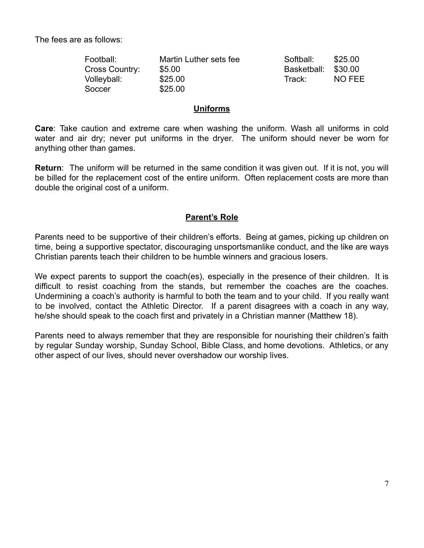The fees are as follows:

| Football:      | Martin Luther sets fee | Softball:   | \$25.00 |
|----------------|------------------------|-------------|---------|
| Cross Country: | \$5.00                 | Basketball: | \$30.00 |
| Volleyball:    | \$25.00                | Track:      | NO FEE  |
| Soccer         | \$25.00                |             |         |

#### **Uniforms**

**Care**: Take caution and extreme care when washing the uniform. Wash all uniforms in cold water and air dry; never put uniforms in the dryer. The uniform should never be worn for anything other than games.

**Return**: The uniform will be returned in the same condition it was given out. If it is not, you will be billed for the replacement cost of the entire uniform. Often replacement costs are more than double the original cost of a uniform.

#### **Parent's Role**

Parents need to be supportive of their children's efforts. Being at games, picking up children on time, being a supportive spectator, discouraging unsportsmanlike conduct, and the like are ways Christian parents teach their children to be humble winners and gracious losers.

We expect parents to support the coach(es), especially in the presence of their children. It is difficult to resist coaching from the stands, but remember the coaches are the coaches. Undermining a coach's authority is harmful to both the team and to your child. If you really want to be involved, contact the Athletic Director. If a parent disagrees with a coach in any way, he/she should speak to the coach first and privately in a Christian manner (Matthew 18).

Parents need to always remember that they are responsible for nourishing their children's faith by regular Sunday worship, Sunday School, Bible Class, and home devotions. Athletics, or any other aspect of our lives, should never overshadow our worship lives.